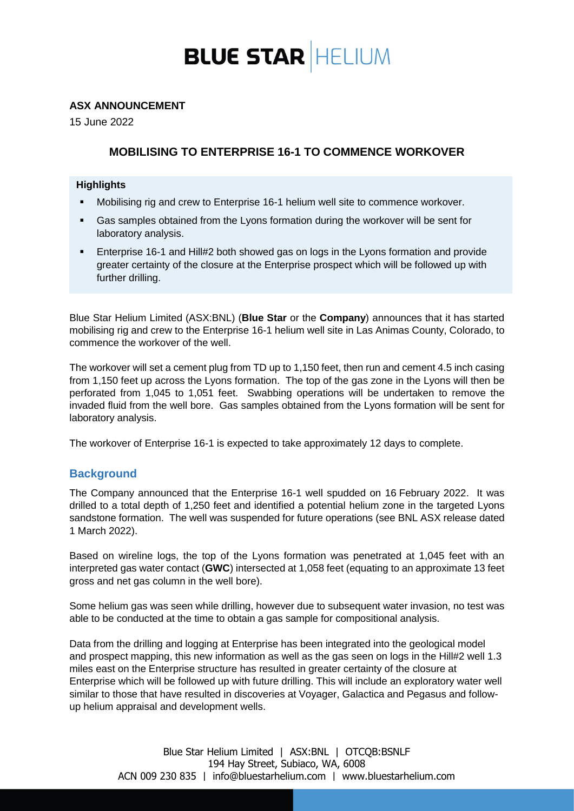

### **ASX ANNOUNCEMENT**

15 June 2022

# **MOBILISING TO ENTERPRISE 16-1 TO COMMENCE WORKOVER**

### **Highlights**

- Mobilising rig and crew to Enterprise 16-1 helium well site to commence workover.
- Gas samples obtained from the Lyons formation during the workover will be sent for laboratory analysis.
- **Enterprise 16-1 and Hill#2 both showed gas on logs in the Lyons formation and provide** greater certainty of the closure at the Enterprise prospect which will be followed up with further drilling.

Blue Star Helium Limited (ASX:BNL) (**Blue Star** or the **Company**) announces that it has started mobilising rig and crew to the Enterprise 16-1 helium well site in Las Animas County, Colorado, to commence the workover of the well.

The workover will set a cement plug from TD up to 1,150 feet, then run and cement 4.5 inch casing from 1,150 feet up across the Lyons formation. The top of the gas zone in the Lyons will then be perforated from 1,045 to 1,051 feet. Swabbing operations will be undertaken to remove the invaded fluid from the well bore. Gas samples obtained from the Lyons formation will be sent for laboratory analysis.

The workover of Enterprise 16-1 is expected to take approximately 12 days to complete.

## **Background**

The Company announced that the Enterprise 16-1 well spudded on 16 February 2022. It was drilled to a total depth of 1,250 feet and identified a potential helium zone in the targeted Lyons sandstone formation. The well was suspended for future operations (see BNL ASX release dated 1 March 2022).

Based on wireline logs, the top of the Lyons formation was penetrated at 1,045 feet with an interpreted gas water contact (**GWC**) intersected at 1,058 feet (equating to an approximate 13 feet gross and net gas column in the well bore).

Some helium gas was seen while drilling, however due to subsequent water invasion, no test was able to be conducted at the time to obtain a gas sample for compositional analysis.

Data from the drilling and logging at Enterprise has been integrated into the geological model and prospect mapping, this new information as well as the gas seen on logs in the Hill#2 well 1.3 miles east on the Enterprise structure has resulted in greater certainty of the closure at Enterprise which will be followed up with future drilling. This will include an exploratory water well similar to those that have resulted in discoveries at Voyager, Galactica and Pegasus and followup helium appraisal and development wells.